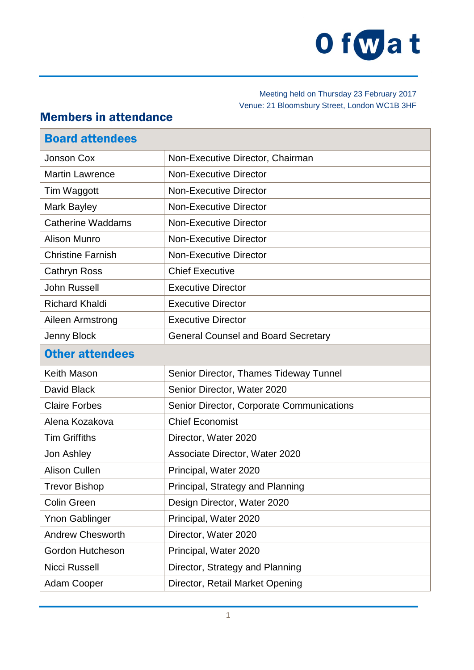

Meeting held on Thursday 23 February 2017 Venue: 21 Bloomsbury Street, London WC1B 3HF

## Members in attendance

| <b>Board attendees</b>   |                                            |
|--------------------------|--------------------------------------------|
| Jonson Cox               | Non-Executive Director, Chairman           |
| <b>Martin Lawrence</b>   | <b>Non-Executive Director</b>              |
| Tim Waggott              | <b>Non-Executive Director</b>              |
| Mark Bayley              | <b>Non-Executive Director</b>              |
| <b>Catherine Waddams</b> | <b>Non-Executive Director</b>              |
| <b>Alison Munro</b>      | <b>Non-Executive Director</b>              |
| <b>Christine Farnish</b> | <b>Non-Executive Director</b>              |
| <b>Cathryn Ross</b>      | <b>Chief Executive</b>                     |
| <b>John Russell</b>      | <b>Executive Director</b>                  |
| <b>Richard Khaldi</b>    | <b>Executive Director</b>                  |
| Aileen Armstrong         | <b>Executive Director</b>                  |
| Jenny Block              | <b>General Counsel and Board Secretary</b> |
| <b>Other attendees</b>   |                                            |
| Keith Mason              | Senior Director, Thames Tideway Tunnel     |
| David Black              | Senior Director, Water 2020                |
| <b>Claire Forbes</b>     | Senior Director, Corporate Communications  |
| Alena Kozakova           | <b>Chief Economist</b>                     |
| <b>Tim Griffiths</b>     | Director, Water 2020                       |
| Jon Ashley               | Associate Director, Water 2020             |
| <b>Alison Cullen</b>     | Principal, Water 2020                      |
| <b>Trevor Bishop</b>     | Principal, Strategy and Planning           |
| <b>Colin Green</b>       | Design Director, Water 2020                |
| <b>Ynon Gablinger</b>    | Principal, Water 2020                      |
| <b>Andrew Chesworth</b>  | Director, Water 2020                       |
| Gordon Hutcheson         | Principal, Water 2020                      |
| <b>Nicci Russell</b>     | Director, Strategy and Planning            |
| <b>Adam Cooper</b>       | Director, Retail Market Opening            |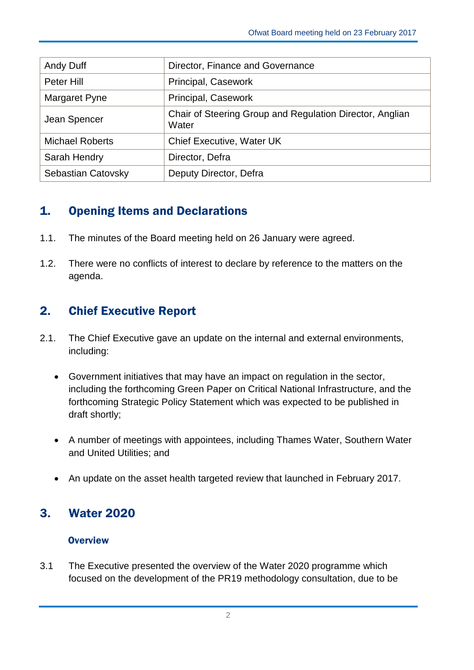| Andy Duff              | Director, Finance and Governance                                  |
|------------------------|-------------------------------------------------------------------|
| Peter Hill             | Principal, Casework                                               |
| Margaret Pyne          | Principal, Casework                                               |
| Jean Spencer           | Chair of Steering Group and Regulation Director, Anglian<br>Water |
| <b>Michael Roberts</b> | <b>Chief Executive, Water UK</b>                                  |
| Sarah Hendry           | Director, Defra                                                   |
| Sebastian Catovsky     | Deputy Director, Defra                                            |

# 1. Opening Items and Declarations

- 1.1. The minutes of the Board meeting held on 26 January were agreed.
- 1.2. There were no conflicts of interest to declare by reference to the matters on the agenda.

# 2. Chief Executive Report

- 2.1. The Chief Executive gave an update on the internal and external environments, including:
	- Government initiatives that may have an impact on regulation in the sector, including the forthcoming Green Paper on Critical National Infrastructure, and the forthcoming Strategic Policy Statement which was expected to be published in draft shortly;
	- A number of meetings with appointees, including Thames Water, Southern Water and United Utilities; and
	- An update on the asset health targeted review that launched in February 2017.

# 3. Water 2020

## **Overview**

3.1 The Executive presented the overview of the Water 2020 programme which focused on the development of the PR19 methodology consultation, due to be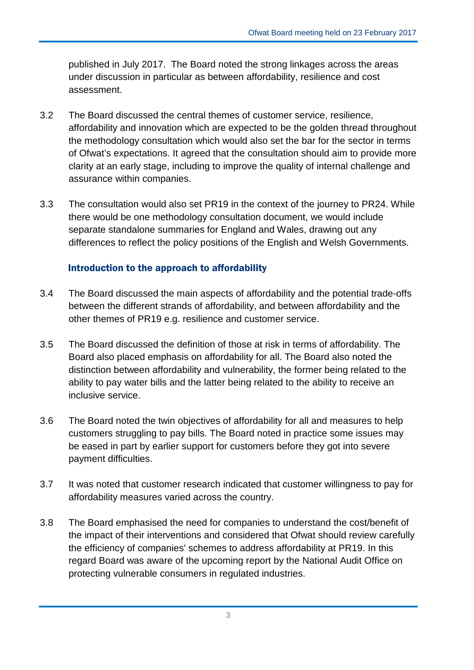published in July 2017. The Board noted the strong linkages across the areas under discussion in particular as between affordability, resilience and cost assessment.

- 3.2 The Board discussed the central themes of customer service, resilience, affordability and innovation which are expected to be the golden thread throughout the methodology consultation which would also set the bar for the sector in terms of Ofwat's expectations. It agreed that the consultation should aim to provide more clarity at an early stage, including to improve the quality of internal challenge and assurance within companies.
- 3.3 The consultation would also set PR19 in the context of the journey to PR24. While there would be one methodology consultation document, we would include separate standalone summaries for England and Wales, drawing out any differences to reflect the policy positions of the English and Welsh Governments.

## Introduction to the approach to affordability

- 3.4 The Board discussed the main aspects of affordability and the potential trade-offs between the different strands of affordability, and between affordability and the other themes of PR19 e.g. resilience and customer service.
- 3.5 The Board discussed the definition of those at risk in terms of affordability. The Board also placed emphasis on affordability for all. The Board also noted the distinction between affordability and vulnerability, the former being related to the ability to pay water bills and the latter being related to the ability to receive an inclusive service.
- 3.6 The Board noted the twin objectives of affordability for all and measures to help customers struggling to pay bills. The Board noted in practice some issues may be eased in part by earlier support for customers before they got into severe payment difficulties.
- 3.7 It was noted that customer research indicated that customer willingness to pay for affordability measures varied across the country.
- 3.8 The Board emphasised the need for companies to understand the cost/benefit of the impact of their interventions and considered that Ofwat should review carefully the efficiency of companies' schemes to address affordability at PR19. In this regard Board was aware of the upcoming report by the National Audit Office on protecting vulnerable consumers in regulated industries.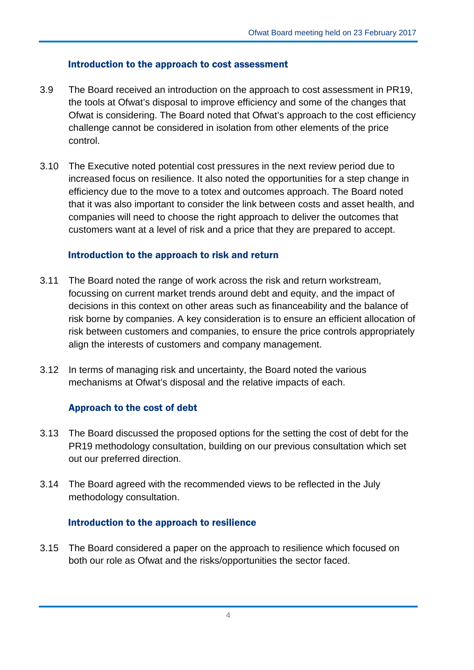#### Introduction to the approach to cost assessment

- 3.9 The Board received an introduction on the approach to cost assessment in PR19, the tools at Ofwat's disposal to improve efficiency and some of the changes that Ofwat is considering. The Board noted that Ofwat's approach to the cost efficiency challenge cannot be considered in isolation from other elements of the price control.
- 3.10 The Executive noted potential cost pressures in the next review period due to increased focus on resilience. It also noted the opportunities for a step change in efficiency due to the move to a totex and outcomes approach. The Board noted that it was also important to consider the link between costs and asset health, and companies will need to choose the right approach to deliver the outcomes that customers want at a level of risk and a price that they are prepared to accept.

#### Introduction to the approach to risk and return

- 3.11 The Board noted the range of work across the risk and return workstream, focussing on current market trends around debt and equity, and the impact of decisions in this context on other areas such as financeability and the balance of risk borne by companies. A key consideration is to ensure an efficient allocation of risk between customers and companies, to ensure the price controls appropriately align the interests of customers and company management.
- 3.12 In terms of managing risk and uncertainty, the Board noted the various mechanisms at Ofwat's disposal and the relative impacts of each.

## Approach to the cost of debt

- 3.13 The Board discussed the proposed options for the setting the cost of debt for the PR19 methodology consultation, building on our previous consultation which set out our preferred direction.
- 3.14 The Board agreed with the recommended views to be reflected in the July methodology consultation.

## Introduction to the approach to resilience

3.15 The Board considered a paper on the approach to resilience which focused on both our role as Ofwat and the risks/opportunities the sector faced.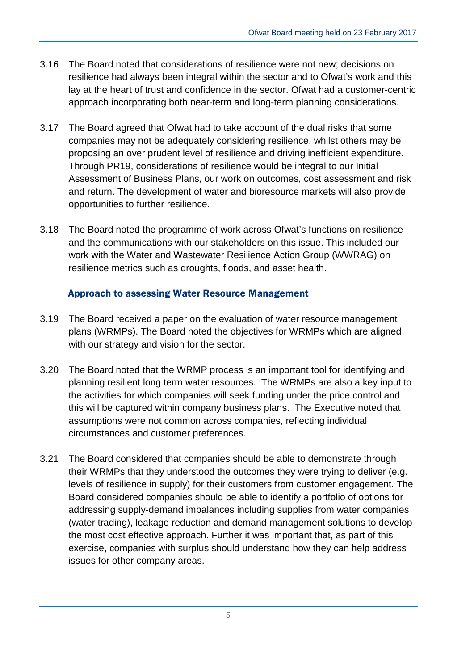- 3.16 The Board noted that considerations of resilience were not new; decisions on resilience had always been integral within the sector and to Ofwat's work and this lay at the heart of trust and confidence in the sector. Ofwat had a customer-centric approach incorporating both near-term and long-term planning considerations.
- 3.17 The Board agreed that Ofwat had to take account of the dual risks that some companies may not be adequately considering resilience, whilst others may be proposing an over prudent level of resilience and driving inefficient expenditure. Through PR19, considerations of resilience would be integral to our Initial Assessment of Business Plans, our work on outcomes, cost assessment and risk and return. The development of water and bioresource markets will also provide opportunities to further resilience.
- 3.18 The Board noted the programme of work across Ofwat's functions on resilience and the communications with our stakeholders on this issue. This included our work with the Water and Wastewater Resilience Action Group (WWRAG) on resilience metrics such as droughts, floods, and asset health.

#### Approach to assessing Water Resource Management

- 3.19 The Board received a paper on the evaluation of water resource management plans (WRMPs). The Board noted the objectives for WRMPs which are aligned with our strategy and vision for the sector.
- 3.20 The Board noted that the WRMP process is an important tool for identifying and planning resilient long term water resources. The WRMPs are also a key input to the activities for which companies will seek funding under the price control and this will be captured within company business plans. The Executive noted that assumptions were not common across companies, reflecting individual circumstances and customer preferences.
- 3.21 The Board considered that companies should be able to demonstrate through their WRMPs that they understood the outcomes they were trying to deliver (e.g. levels of resilience in supply) for their customers from customer engagement. The Board considered companies should be able to identify a portfolio of options for addressing supply-demand imbalances including supplies from water companies (water trading), leakage reduction and demand management solutions to develop the most cost effective approach. Further it was important that, as part of this exercise, companies with surplus should understand how they can help address issues for other company areas.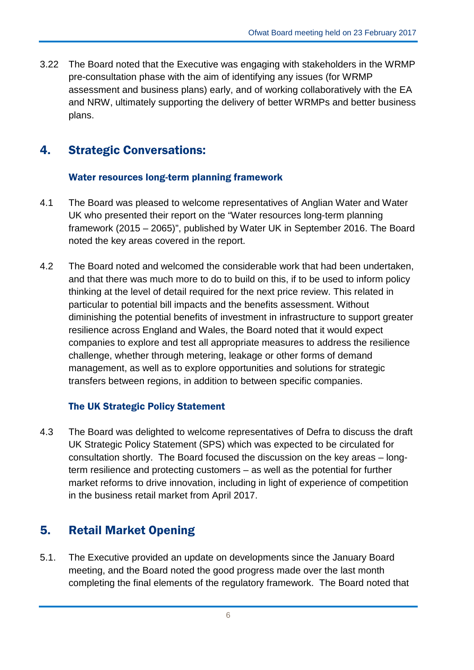3.22 The Board noted that the Executive was engaging with stakeholders in the WRMP pre-consultation phase with the aim of identifying any issues (for WRMP assessment and business plans) early, and of working collaboratively with the EA and NRW, ultimately supporting the delivery of better WRMPs and better business plans.

## 4. Strategic Conversations:

## Water resources long-term planning framework

- 4.1 The Board was pleased to welcome representatives of Anglian Water and Water UK who presented their report on the "Water resources long-term planning framework (2015 – 2065)", published by Water UK in September 2016. The Board noted the key areas covered in the report.
- 4.2 The Board noted and welcomed the considerable work that had been undertaken, and that there was much more to do to build on this, if to be used to inform policy thinking at the level of detail required for the next price review. This related in particular to potential bill impacts and the benefits assessment. Without diminishing the potential benefits of investment in infrastructure to support greater resilience across England and Wales, the Board noted that it would expect companies to explore and test all appropriate measures to address the resilience challenge, whether through metering, leakage or other forms of demand management, as well as to explore opportunities and solutions for strategic transfers between regions, in addition to between specific companies.

## The UK Strategic Policy Statement

4.3 The Board was delighted to welcome representatives of Defra to discuss the draft UK Strategic Policy Statement (SPS) which was expected to be circulated for consultation shortly. The Board focused the discussion on the key areas – longterm resilience and protecting customers – as well as the potential for further market reforms to drive innovation, including in light of experience of competition in the business retail market from April 2017.

# 5. Retail Market Opening

5.1. The Executive provided an update on developments since the January Board meeting, and the Board noted the good progress made over the last month completing the final elements of the regulatory framework. The Board noted that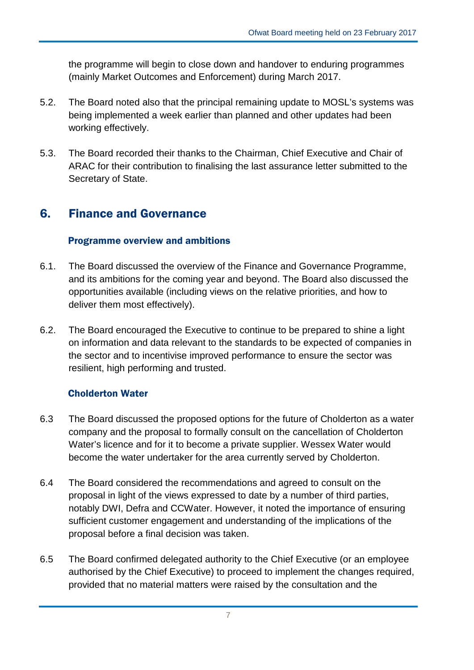the programme will begin to close down and handover to enduring programmes (mainly Market Outcomes and Enforcement) during March 2017.

- 5.2. The Board noted also that the principal remaining update to MOSL's systems was being implemented a week earlier than planned and other updates had been working effectively.
- 5.3. The Board recorded their thanks to the Chairman, Chief Executive and Chair of ARAC for their contribution to finalising the last assurance letter submitted to the Secretary of State.

## 6. Finance and Governance

## Programme overview and ambitions

- 6.1. The Board discussed the overview of the Finance and Governance Programme, and its ambitions for the coming year and beyond. The Board also discussed the opportunities available (including views on the relative priorities, and how to deliver them most effectively).
- 6.2. The Board encouraged the Executive to continue to be prepared to shine a light on information and data relevant to the standards to be expected of companies in the sector and to incentivise improved performance to ensure the sector was resilient, high performing and trusted.

## Cholderton Water

- 6.3 The Board discussed the proposed options for the future of Cholderton as a water company and the proposal to formally consult on the cancellation of Cholderton Water's licence and for it to become a private supplier. Wessex Water would become the water undertaker for the area currently served by Cholderton.
- 6.4 The Board considered the recommendations and agreed to consult on the proposal in light of the views expressed to date by a number of third parties, notably DWI, Defra and CCWater. However, it noted the importance of ensuring sufficient customer engagement and understanding of the implications of the proposal before a final decision was taken.
- 6.5 The Board confirmed delegated authority to the Chief Executive (or an employee authorised by the Chief Executive) to proceed to implement the changes required, provided that no material matters were raised by the consultation and the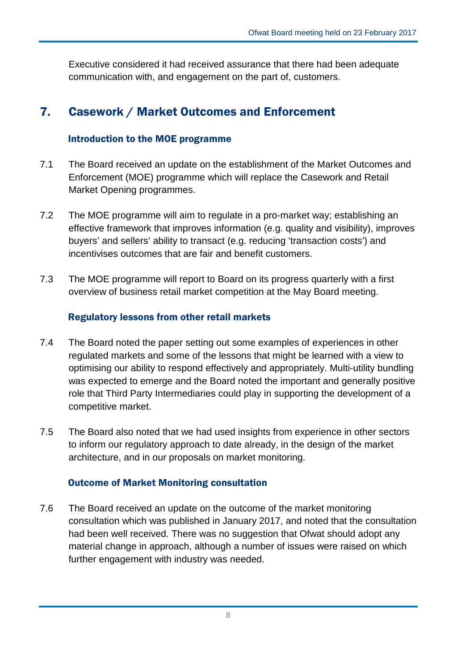Executive considered it had received assurance that there had been adequate communication with, and engagement on the part of, customers.

## 7. Casework / Market Outcomes and Enforcement

### Introduction to the MOE programme

- 7.1 The Board received an update on the establishment of the Market Outcomes and Enforcement (MOE) programme which will replace the Casework and Retail Market Opening programmes.
- 7.2 The MOE programme will aim to regulate in a pro-market way; establishing an effective framework that improves information (e.g. quality and visibility), improves buyers' and sellers' ability to transact (e.g. reducing 'transaction costs') and incentivises outcomes that are fair and benefit customers.
- 7.3 The MOE programme will report to Board on its progress quarterly with a first overview of business retail market competition at the May Board meeting.

## Regulatory lessons from other retail markets

- 7.4 The Board noted the paper setting out some examples of experiences in other regulated markets and some of the lessons that might be learned with a view to optimising our ability to respond effectively and appropriately. Multi-utility bundling was expected to emerge and the Board noted the important and generally positive role that Third Party Intermediaries could play in supporting the development of a competitive market.
- 7.5 The Board also noted that we had used insights from experience in other sectors to inform our regulatory approach to date already, in the design of the market architecture, and in our proposals on market monitoring.

#### Outcome of Market Monitoring consultation

7.6 The Board received an update on the outcome of the market monitoring consultation which was published in January 2017, and noted that the consultation had been well received. There was no suggestion that Ofwat should adopt any material change in approach, although a number of issues were raised on which further engagement with industry was needed.